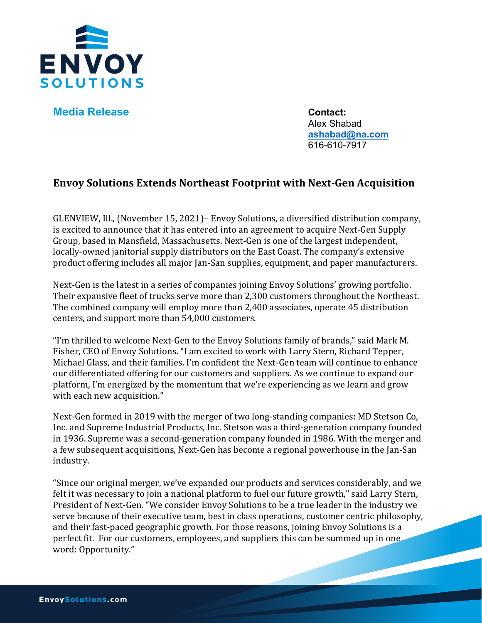

**Media Release Contact:** 

Alex Shabad **[ashabad@na.com](mailto:ashabad@na.com)** 616-610-7917

## **Envoy Solutions Extends Northeast Footprint with Next-Gen Acquisition**

GLENVIEW, Ill., (November 15, 2021)– Envoy Solutions, a diversified distribution company, is excited to announce that it has entered into an agreement to acquire Next-Gen Supply Group, based in Mansfield, Massachusetts. Next-Gen is one of the largest independent, locally-owned janitorial supply distributors on the East Coast. The company's extensive product offering includes all major Jan-San supplies, equipment, and paper manufacturers.

Next-Gen is the latest in a series of companies joining Envoy Solutions' growing portfolio. Their expansive fleet of trucks serve more than 2,300 customers throughout the Northeast. The combined company will employ more than 2,400 associates, operate 45 distribution centers, and support more than 54,000 customers.

"I'm thrilled to welcome Next-Gen to the Envoy Solutions family of brands," said Mark M. Fisher, CEO of Envoy Solutions. "I am excited to work with Larry Stern, Richard Tepper, Michael Glass, and their families. I'm confident the Next-Gen team will continue to enhance our differentiated offering for our customers and suppliers. As we continue to expand our platform, I'm energized by the momentum that we're experiencing as we learn and grow with each new acquisition."

Next-Gen formed in 2019 with the merger of two long-standing companies: MD Stetson Co, Inc. and Supreme Industrial Products, Inc. Stetson was a third-generation company founded in 1936. Supreme was a second-generation company founded in 1986. With the merger and a few subsequent acquisitions, Next-Gen has become a regional powerhouse in the Jan-San industry.

"Since our original merger, we've expanded our products and services considerably, and we felt it was necessary to join a national platform to fuel our future growth," said Larry Stern, President of Next-Gen. "We consider Envoy Solutions to be a true leader in the industry we serve because of their executive team, best in class operations, customer centric philosophy, and their fast-paced geographic growth. For those reasons, joining Envoy Solutions is a perfect fit. For our customers, employees, and suppliers this can be summed up in one word: Opportunity."